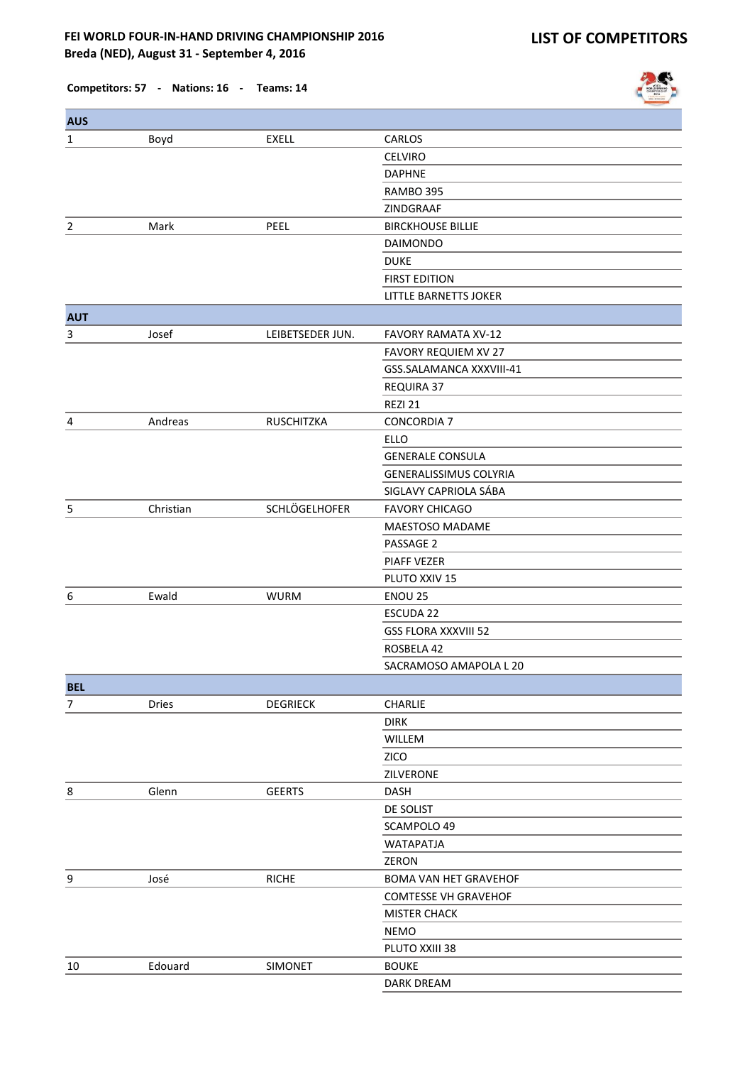

| <b>AUS</b>     |              |                   |                               |
|----------------|--------------|-------------------|-------------------------------|
| $\mathbf{1}$   | Boyd         | <b>EXELL</b>      | CARLOS                        |
|                |              |                   | <b>CELVIRO</b>                |
|                |              |                   | <b>DAPHNE</b>                 |
|                |              |                   | RAMBO 395                     |
|                |              |                   | ZINDGRAAF                     |
| $\overline{2}$ | Mark         | PEEL              | <b>BIRCKHOUSE BILLIE</b>      |
|                |              |                   | <b>DAIMONDO</b>               |
|                |              |                   | <b>DUKE</b>                   |
|                |              |                   | <b>FIRST EDITION</b>          |
|                |              |                   | LITTLE BARNETTS JOKER         |
| <b>AUT</b>     |              |                   |                               |
| 3              | Josef        | LEIBETSEDER JUN.  | <b>FAVORY RAMATA XV-12</b>    |
|                |              |                   | FAVORY REQUIEM XV 27          |
|                |              |                   | GSS.SALAMANCA XXXVIII-41      |
|                |              |                   | REQUIRA 37                    |
|                |              |                   | REZI 21                       |
| 4              | Andreas      | <b>RUSCHITZKA</b> | <b>CONCORDIA 7</b>            |
|                |              |                   | <b>ELLO</b>                   |
|                |              |                   | <b>GENERALE CONSULA</b>       |
|                |              |                   | <b>GENERALISSIMUS COLYRIA</b> |
|                |              |                   | SIGLAVY CAPRIOLA SÁBA         |
| 5              | Christian    | SCHLÖGELHOFER     | <b>FAVORY CHICAGO</b>         |
|                |              |                   | MAESTOSO MADAME               |
|                |              |                   | PASSAGE 2                     |
|                |              |                   | <b>PIAFF VEZER</b>            |
|                |              |                   | PLUTO XXIV 15                 |
| 6              | Ewald        | <b>WURM</b>       | <b>ENOU 25</b>                |
|                |              |                   | <b>ESCUDA 22</b>              |
|                |              |                   | <b>GSS FLORA XXXVIII 52</b>   |
|                |              |                   | ROSBELA 42                    |
|                |              |                   | SACRAMOSO AMAPOLA L 20        |
| <b>BEL</b>     |              |                   |                               |
| 7              | <b>Dries</b> | <b>DEGRIECK</b>   | <b>CHARLIE</b>                |
|                |              |                   | <b>DIRK</b>                   |
|                |              |                   | WILLEM                        |
|                |              |                   | ZICO                          |
|                |              |                   | ZILVERONE                     |
| 8              | Glenn        | <b>GEERTS</b>     | <b>DASH</b>                   |
|                |              |                   | DE SOLIST                     |
|                |              |                   | SCAMPOLO 49                   |
|                |              |                   | <b>WATAPATJA</b>              |
|                |              |                   | ZERON                         |
| 9              | José         | <b>RICHE</b>      | BOMA VAN HET GRAVEHOF         |
|                |              |                   | <b>COMTESSE VH GRAVEHOF</b>   |
|                |              |                   | <b>MISTER CHACK</b>           |
|                |              |                   | <b>NEMO</b>                   |
|                |              |                   | PLUTO XXIII 38                |
| 10             | Edouard      | <b>SIMONET</b>    | <b>BOUKE</b>                  |
|                |              |                   | DARK DREAM                    |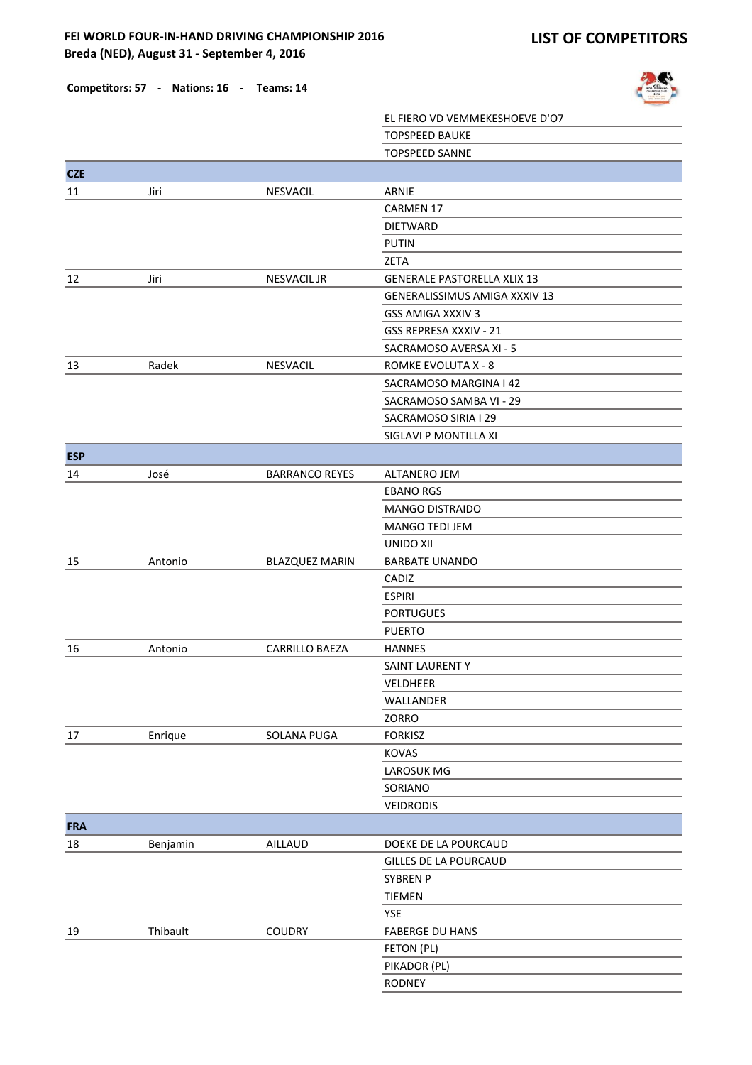

|            |          |                       | EL FIERO VD VEMMEKESHOEVE D'O7     |
|------------|----------|-----------------------|------------------------------------|
|            |          |                       | <b>TOPSPEED BAUKE</b>              |
|            |          |                       | <b>TOPSPEED SANNE</b>              |
| <b>CZE</b> |          |                       |                                    |
| 11         | Jiri     | NESVACIL              | ARNIE                              |
|            |          |                       | CARMEN 17                          |
|            |          |                       | <b>DIETWARD</b>                    |
|            |          |                       | <b>PUTIN</b>                       |
|            |          |                       | ZETA                               |
| 12         | Jiri     | <b>NESVACIL JR</b>    | <b>GENERALE PASTORELLA XLIX 13</b> |
|            |          |                       | GENERALISSIMUS AMIGA XXXIV 13      |
|            |          |                       | GSS AMIGA XXXIV 3                  |
|            |          |                       | GSS REPRESA XXXIV - 21             |
|            |          |                       | SACRAMOSO AVERSA XI - 5            |
| 13         | Radek    | <b>NESVACIL</b>       | ROMKE EVOLUTA X - 8                |
|            |          |                       | SACRAMOSO MARGINA I 42             |
|            |          |                       | SACRAMOSO SAMBA VI - 29            |
|            |          |                       | SACRAMOSO SIRIA I 29               |
|            |          |                       | SIGLAVI P MONTILLA XI              |
| <b>ESP</b> |          |                       |                                    |
| 14         | José     | <b>BARRANCO REYES</b> | <b>ALTANERO JEM</b>                |
|            |          |                       | <b>EBANO RGS</b>                   |
|            |          |                       | MANGO DISTRAIDO                    |
|            |          |                       | <b>MANGO TEDI JEM</b>              |
|            |          |                       | <b>UNIDO XII</b>                   |
| 15         | Antonio  | <b>BLAZQUEZ MARIN</b> | <b>BARBATE UNANDO</b>              |
|            |          |                       | CADIZ                              |
|            |          |                       | <b>ESPIRI</b>                      |
|            |          |                       | <b>PORTUGUES</b>                   |
|            |          |                       | <b>PUERTO</b>                      |
| 16         | Antonio  | <b>CARRILLO BAEZA</b> | <b>HANNES</b>                      |
|            |          |                       | SAINT LAURENT Y                    |
|            |          |                       | VELDHEER                           |
|            |          |                       | WALLANDER                          |
|            |          |                       | ZORRO                              |
| 17         | Enrique  | SOLANA PUGA           | <b>FORKISZ</b>                     |
|            |          |                       | KOVAS                              |
|            |          |                       | LAROSUK MG                         |
|            |          |                       | SORIANO                            |
|            |          |                       | <b>VEIDRODIS</b>                   |
| <b>FRA</b> |          |                       |                                    |
| 18         | Benjamin | AILLAUD               | DOEKE DE LA POURCAUD               |
|            |          |                       | GILLES DE LA POURCAUD              |
|            |          |                       | SYBREN P                           |
|            |          |                       | <b>TIEMEN</b>                      |
|            |          |                       | <b>YSE</b>                         |
| 19         | Thibault | <b>COUDRY</b>         | <b>FABERGE DU HANS</b>             |
|            |          |                       | FETON (PL)                         |
|            |          |                       | PIKADOR (PL)                       |
|            |          |                       | RODNEY                             |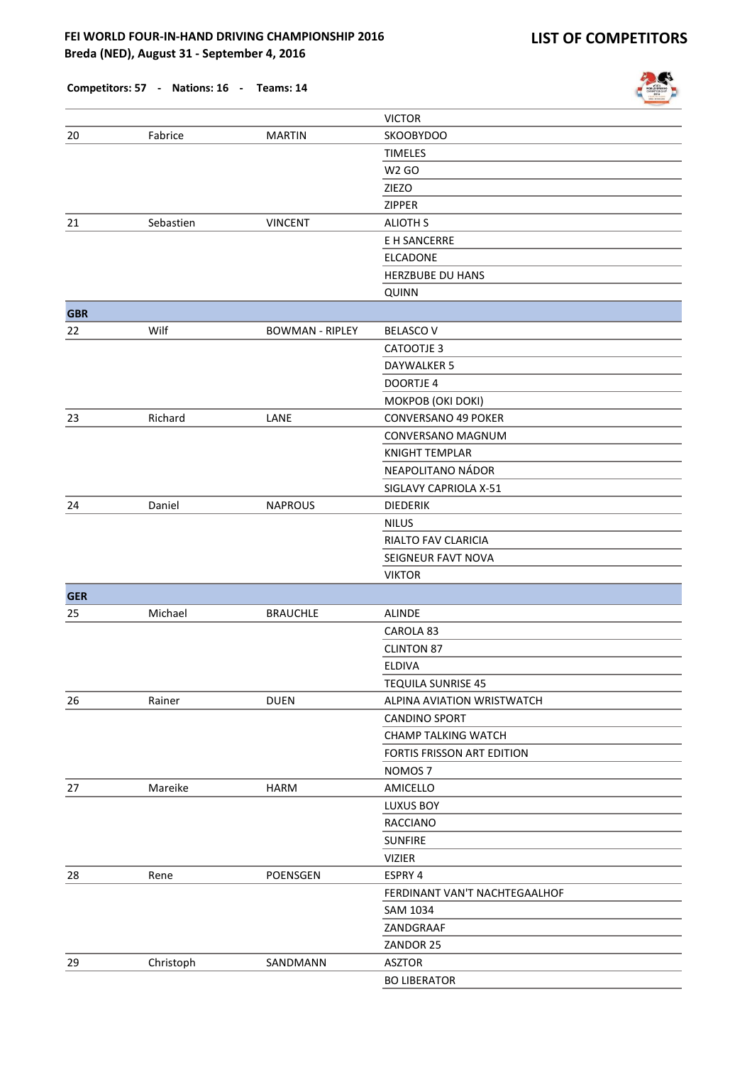|            | competitors. 37 - ivations. 10 | $\sim$                 |                               | 2014 |
|------------|--------------------------------|------------------------|-------------------------------|------|
|            |                                |                        | <b>VICTOR</b>                 |      |
| 20         | Fabrice                        | <b>MARTIN</b>          | <b>SKOOBYDOO</b>              |      |
|            |                                |                        | <b>TIMELES</b>                |      |
|            |                                |                        | <b>W2 GO</b>                  |      |
|            |                                |                        | ZIEZO                         |      |
|            |                                |                        | ZIPPER                        |      |
| 21         | Sebastien                      | <b>VINCENT</b>         | <b>ALIOTH S</b>               |      |
|            |                                |                        | E H SANCERRE                  |      |
|            |                                |                        | <b>ELCADONE</b>               |      |
|            |                                |                        | HERZBUBE DU HANS              |      |
|            |                                |                        | <b>QUINN</b>                  |      |
| <b>GBR</b> |                                |                        |                               |      |
| 22         | Wilf                           | <b>BOWMAN - RIPLEY</b> | <b>BELASCOV</b>               |      |
|            |                                |                        | CATOOTJE 3                    |      |
|            |                                |                        | <b>DAYWALKER 5</b>            |      |
|            |                                |                        | <b>DOORTJE 4</b>              |      |
|            |                                |                        | MOKPOB (OKI DOKI)             |      |
| 23         | Richard                        | LANE                   | <b>CONVERSANO 49 POKER</b>    |      |
|            |                                |                        | <b>CONVERSANO MAGNUM</b>      |      |
|            |                                |                        | <b>KNIGHT TEMPLAR</b>         |      |
|            |                                |                        | NEAPOLITANO NÁDOR             |      |
|            |                                |                        | SIGLAVY CAPRIOLA X-51         |      |
| 24         | Daniel                         | <b>NAPROUS</b>         | <b>DIEDERIK</b>               |      |
|            |                                |                        | <b>NILUS</b>                  |      |
|            |                                |                        | RIALTO FAV CLARICIA           |      |
|            |                                |                        | SEIGNEUR FAVT NOVA            |      |
|            |                                |                        | <b>VIKTOR</b>                 |      |
| <b>GER</b> |                                |                        |                               |      |
| 25         | Michael                        | <b>BRAUCHLE</b>        | ALINDE                        |      |
|            |                                |                        | CAROLA 83                     |      |
|            |                                |                        | <b>CLINTON 87</b>             |      |
|            |                                |                        | <b>ELDIVA</b>                 |      |
|            |                                |                        | <b>TEQUILA SUNRISE 45</b>     |      |
| 26         | Rainer                         | <b>DUEN</b>            | ALPINA AVIATION WRISTWATCH    |      |
|            |                                |                        | <b>CANDINO SPORT</b>          |      |
|            |                                |                        | <b>CHAMP TALKING WATCH</b>    |      |
|            |                                |                        | FORTIS FRISSON ART EDITION    |      |
|            |                                |                        | NOMOS <sub>7</sub>            |      |
| 27         | Mareike                        | <b>HARM</b>            | AMICELLO                      |      |
|            |                                |                        | LUXUS BOY                     |      |
|            |                                |                        | <b>RACCIANO</b>               |      |
|            |                                |                        | <b>SUNFIRE</b>                |      |
|            |                                |                        | <b>VIZIER</b>                 |      |
| 28         | Rene                           | POENSGEN               | ESPRY 4                       |      |
|            |                                |                        | FERDINANT VAN'T NACHTEGAALHOF |      |
|            |                                |                        | SAM 1034                      |      |
|            |                                |                        | ZANDGRAAF                     |      |
|            |                                |                        | ZANDOR 25                     |      |
| 29         | Christoph                      | SANDMANN               | <b>ASZTOR</b>                 |      |
|            |                                |                        | <b>BO LIBERATOR</b>           |      |

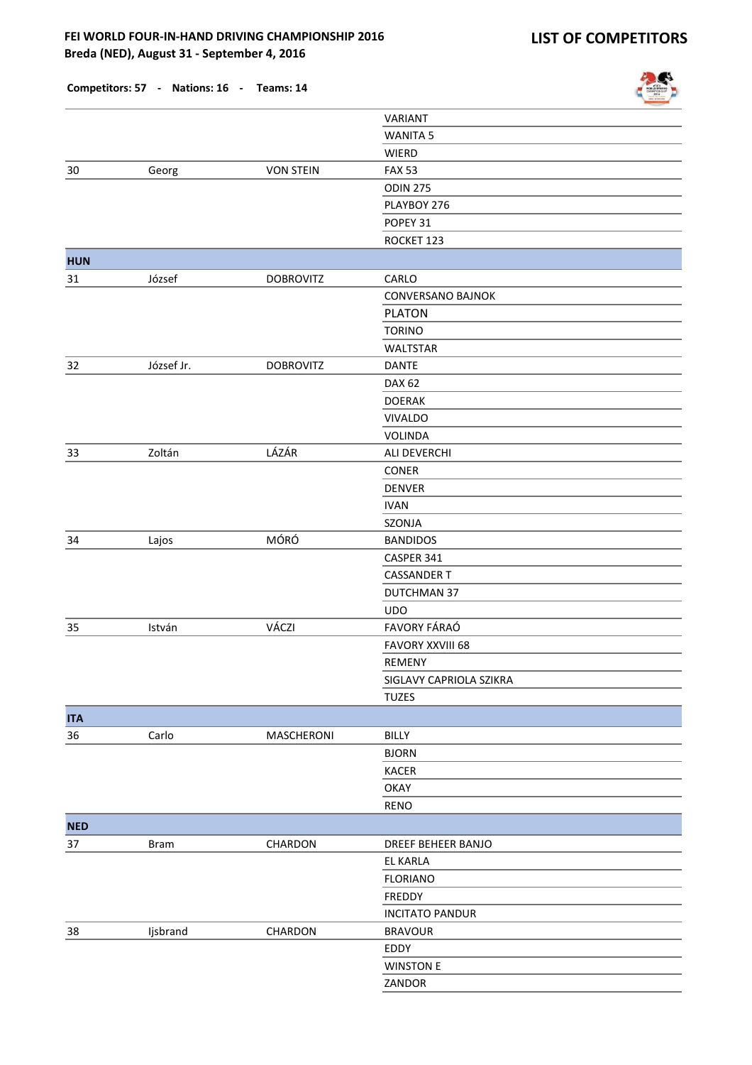

|            |            |                  | VARIANT                 |
|------------|------------|------------------|-------------------------|
|            |            |                  | <b>WANITA 5</b>         |
|            |            |                  | WIERD                   |
| 30         | Georg      | <b>VON STEIN</b> | <b>FAX 53</b>           |
|            |            |                  | <b>ODIN 275</b>         |
|            |            |                  | PLAYBOY 276             |
|            |            |                  | POPEY 31                |
|            |            |                  | ROCKET 123              |
| <b>HUN</b> |            |                  |                         |
| 31         | József     | <b>DOBROVITZ</b> | CARLO                   |
|            |            |                  | CONVERSANO BAJNOK       |
|            |            |                  | <b>PLATON</b>           |
|            |            |                  | <b>TORINO</b>           |
|            |            |                  | <b>WALTSTAR</b>         |
| 32         | József Jr. | <b>DOBROVITZ</b> | <b>DANTE</b>            |
|            |            |                  | <b>DAX 62</b>           |
|            |            |                  | <b>DOERAK</b>           |
|            |            |                  | <b>VIVALDO</b>          |
|            |            |                  | <b>VOLINDA</b>          |
| 33         | Zoltán     | LÁZÁR            | ALI DEVERCHI            |
|            |            |                  | CONER                   |
|            |            |                  | <b>DENVER</b>           |
|            |            |                  | <b>IVAN</b>             |
|            |            |                  | SZONJA                  |
|            |            | MÓRÓ             |                         |
| 34         | Lajos      |                  | <b>BANDIDOS</b>         |
|            |            |                  | CASPER 341              |
|            |            |                  | <b>CASSANDER T</b>      |
|            |            |                  | DUTCHMAN 37             |
|            |            |                  | <b>UDO</b>              |
| 35         | István     | VÁCZI            | FAVORY FÁRAÓ            |
|            |            |                  | <b>FAVORY XXVIII 68</b> |
|            |            |                  | <b>REMENY</b>           |
|            |            |                  | SIGLAVY CAPRIOLA SZIKRA |
|            |            |                  | <b>TUZES</b>            |
| <b>ITA</b> |            |                  |                         |
| 36         | Carlo      | MASCHERONI       | BILLY                   |
|            |            |                  | <b>BJORN</b>            |
|            |            |                  | <b>KACER</b>            |
|            |            |                  | OKAY                    |
|            |            |                  | RENO                    |
| <b>NED</b> |            |                  |                         |
| 37         | Bram       | CHARDON          | DREEF BEHEER BANJO      |
|            |            |                  | EL KARLA                |
|            |            |                  | <b>FLORIANO</b>         |
|            |            |                  | FREDDY                  |
|            |            |                  | <b>INCITATO PANDUR</b>  |
| 38         | Ijsbrand   | CHARDON          | <b>BRAVOUR</b>          |
|            |            |                  | EDDY                    |
|            |            |                  | <b>WINSTON E</b>        |
|            |            |                  | ZANDOR                  |
|            |            |                  |                         |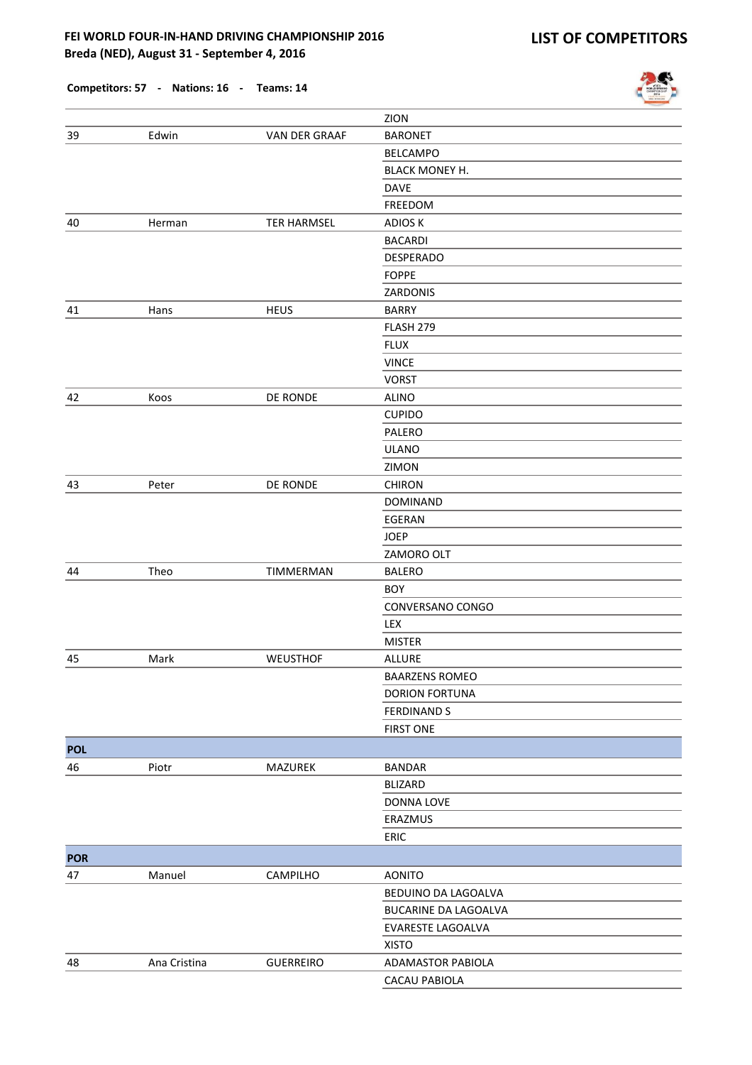

|                  |              |                    | ZION                  |
|------------------|--------------|--------------------|-----------------------|
| 39               | Edwin        | VAN DER GRAAF      | <b>BARONET</b>        |
|                  |              |                    | <b>BELCAMPO</b>       |
|                  |              |                    | <b>BLACK MONEY H.</b> |
|                  |              |                    | <b>DAVE</b>           |
|                  |              |                    | <b>FREEDOM</b>        |
| 40               | Herman       | <b>TER HARMSEL</b> | <b>ADIOS K</b>        |
|                  |              |                    | <b>BACARDI</b>        |
|                  |              |                    | DESPERADO             |
|                  |              |                    | <b>FOPPE</b>          |
|                  |              |                    | ZARDONIS              |
| 41               | Hans         | <b>HEUS</b>        | <b>BARRY</b>          |
|                  |              |                    | FLASH 279             |
|                  |              |                    | <b>FLUX</b>           |
|                  |              |                    | <b>VINCE</b>          |
|                  |              |                    | <b>VORST</b>          |
| 42               | Koos         | DE RONDE           | <b>ALINO</b>          |
|                  |              |                    | <b>CUPIDO</b>         |
|                  |              |                    | PALERO                |
|                  |              |                    | <b>ULANO</b>          |
|                  |              |                    | ZIMON                 |
| 43               | Peter        | DE RONDE           | <b>CHIRON</b>         |
|                  |              |                    | <b>DOMINAND</b>       |
|                  |              |                    | EGERAN                |
|                  |              |                    | <b>JOEP</b>           |
|                  |              |                    | ZAMORO OLT            |
| 44               | Theo         | TIMMERMAN          | <b>BALERO</b>         |
|                  |              |                    | <b>BOY</b>            |
|                  |              |                    | CONVERSANO CONGO      |
|                  |              |                    | LEX                   |
|                  |              |                    | <b>MISTER</b>         |
| 45               | Mark         | WEUSTHOF           | <b>ALLURE</b>         |
|                  |              |                    | <b>BAARZENS ROMEO</b> |
|                  |              |                    | <b>DORION FORTUNA</b> |
|                  |              |                    | <b>FERDINAND S</b>    |
|                  |              |                    | <b>FIRST ONE</b>      |
| <b>POL</b>       |              |                    |                       |
| 46               | Piotr        | MAZUREK            | <b>BANDAR</b>         |
|                  |              |                    | <b>BLIZARD</b>        |
|                  |              |                    | DONNA LOVE            |
|                  |              |                    | ERAZMUS               |
|                  |              |                    | ERIC                  |
|                  |              |                    |                       |
| <b>POR</b><br>47 | Manuel       | CAMPILHO           | <b>AONITO</b>         |
|                  |              |                    |                       |
|                  |              |                    | BEDUINO DA LAGOALVA   |
|                  |              |                    | BUCARINE DA LAGOALVA  |
|                  |              |                    | EVARESTE LAGOALVA     |
|                  |              |                    | <b>XISTO</b>          |
| 48               | Ana Cristina | <b>GUERREIRO</b>   | ADAMASTOR PABIOLA     |
|                  |              |                    | CACAU PABIOLA         |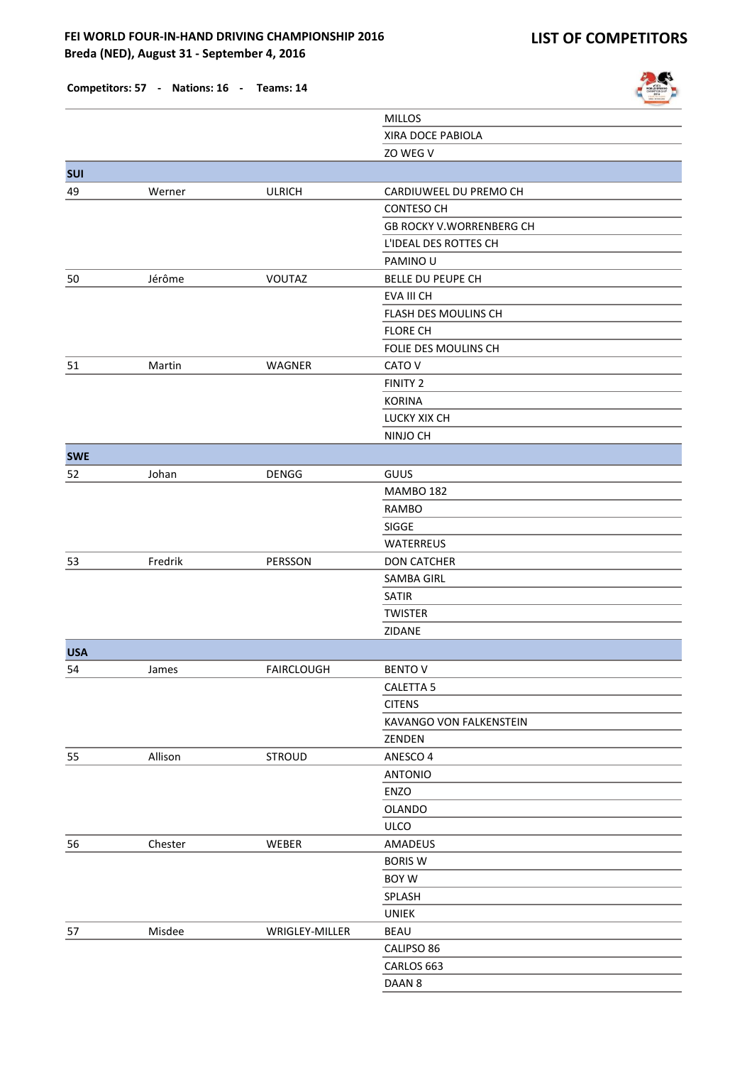

|            |         |                   | <b>MILLOS</b>                   |
|------------|---------|-------------------|---------------------------------|
|            |         |                   | XIRA DOCE PABIOLA               |
|            |         |                   | ZO WEG V                        |
| <b>SUI</b> |         |                   |                                 |
| 49         | Werner  | <b>ULRICH</b>     | CARDIUWEEL DU PREMO CH          |
|            |         |                   | <b>CONTESO CH</b>               |
|            |         |                   | <b>GB ROCKY V.WORRENBERG CH</b> |
|            |         |                   | L'IDEAL DES ROTTES CH           |
|            |         |                   | PAMINO U                        |
| 50         | Jérôme  | VOUTAZ            | BELLE DU PEUPE CH               |
|            |         |                   | EVA III CH                      |
|            |         |                   | FLASH DES MOULINS CH            |
|            |         |                   | <b>FLORE CH</b>                 |
|            |         |                   | FOLIE DES MOULINS CH            |
| 51         | Martin  | WAGNER            | CATO V                          |
|            |         |                   | FINITY 2                        |
|            |         |                   | <b>KORINA</b>                   |
|            |         |                   | LUCKY XIX CH                    |
|            |         |                   | NINJO CH                        |
| <b>SWE</b> |         |                   |                                 |
| 52         | Johan   | DENGG             | GUUS                            |
|            |         |                   | <b>MAMBO 182</b>                |
|            |         |                   | <b>RAMBO</b>                    |
|            |         |                   | SIGGE                           |
|            |         |                   | WATERREUS                       |
| 53         | Fredrik | PERSSON           | <b>DON CATCHER</b>              |
|            |         |                   | SAMBA GIRL                      |
|            |         |                   | SATIR                           |
|            |         |                   | <b>TWISTER</b>                  |
|            |         |                   | ZIDANE                          |
| <b>USA</b> |         |                   |                                 |
| 54         | James   | <b>FAIRCLOUGH</b> | <b>BENTO V</b>                  |
|            |         |                   | CALETTA <sub>5</sub>            |
|            |         |                   | <b>CITENS</b>                   |
|            |         |                   | KAVANGO VON FALKENSTEIN         |
|            |         |                   | ZENDEN                          |
| 55         | Allison | <b>STROUD</b>     | ANESCO 4                        |
|            |         |                   | <b>ANTONIO</b>                  |
|            |         |                   | ENZO                            |
|            |         |                   | OLANDO                          |
|            |         |                   | ULCO                            |
| 56         | Chester | WEBER             | AMADEUS                         |
|            |         |                   | <b>BORIS W</b>                  |
|            |         |                   | BOY W                           |
|            |         |                   | SPLASH                          |
|            |         |                   | <b>UNIEK</b>                    |
| 57         | Misdee  | WRIGLEY-MILLER    | BEAU                            |
|            |         |                   | CALIPSO 86                      |
|            |         |                   | CARLOS 663                      |
|            |         |                   | DAAN 8                          |